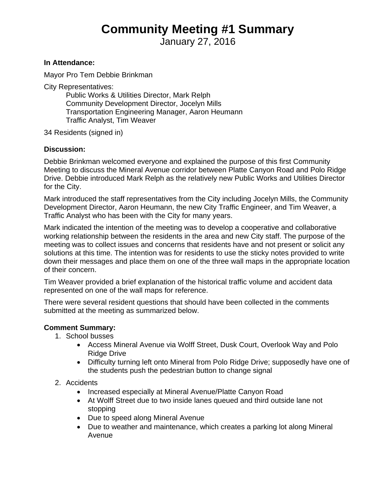## **Community Meeting #1 Summary**

January 27, 2016

## **In Attendance:**

Mayor Pro Tem Debbie Brinkman

City Representatives:

Public Works & Utilities Director, Mark Relph Community Development Director, Jocelyn Mills Transportation Engineering Manager, Aaron Heumann Traffic Analyst, Tim Weaver

34 Residents (signed in)

## **Discussion:**

Debbie Brinkman welcomed everyone and explained the purpose of this first Community Meeting to discuss the Mineral Avenue corridor between Platte Canyon Road and Polo Ridge Drive. Debbie introduced Mark Relph as the relatively new Public Works and Utilities Director for the City.

Mark introduced the staff representatives from the City including Jocelyn Mills, the Community Development Director, Aaron Heumann, the new City Traffic Engineer, and Tim Weaver, a Traffic Analyst who has been with the City for many years.

Mark indicated the intention of the meeting was to develop a cooperative and collaborative working relationship between the residents in the area and new City staff. The purpose of the meeting was to collect issues and concerns that residents have and not present or solicit any solutions at this time. The intention was for residents to use the sticky notes provided to write down their messages and place them on one of the three wall maps in the appropriate location of their concern.

Tim Weaver provided a brief explanation of the historical traffic volume and accident data represented on one of the wall maps for reference.

There were several resident questions that should have been collected in the comments submitted at the meeting as summarized below.

## **Comment Summary:**

- 1. School busses
	- Access Mineral Avenue via Wolff Street, Dusk Court, Overlook Way and Polo Ridge Drive
	- Difficulty turning left onto Mineral from Polo Ridge Drive; supposedly have one of the students push the pedestrian button to change signal
- 2. Accidents
	- Increased especially at Mineral Avenue/Platte Canyon Road
	- At Wolff Street due to two inside lanes queued and third outside lane not stopping
	- Due to speed along Mineral Avenue
	- Due to weather and maintenance, which creates a parking lot along Mineral Avenue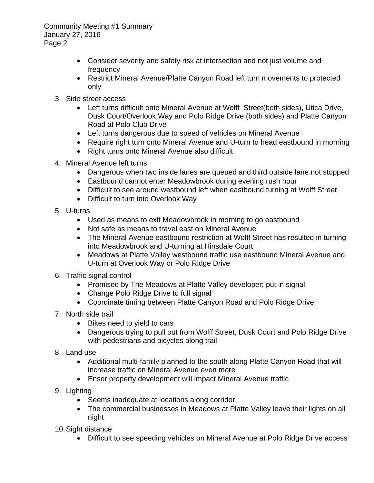Community Meeting #1 Summary January 27, 2016 Page 2

- Consider severity and safety risk at intersection and not just volume and frequency
- Restrict Mineral Avenue/Platte Canyon Road left turn movements to protected only
- 3. Side street access
	- Left turns difficult onto Mineral Avenue at Wolff Street(both sides), Utica Drive, Dusk Court/Overlook Way and Polo Ridge Drive (both sides) and Platte Canyon Road at Polo Club Drive
	- Left turns dangerous due to speed of vehicles on Mineral Avenue
	- Require right turn onto Mineral Avenue and U-turn to head eastbound in morning
	- Right turns onto Mineral Avenue also difficult
- 4. Mineral Avenue left turns
	- Dangerous when two inside lanes are queued and third outside lane not stopped
	- Eastbound cannot enter Meadowbrook during evening rush hour
	- Difficult to see around westbound left when eastbound turning at Wolff Street
	- Difficult to turn into Overlook Way
- 5. U-turns
	- Used as means to exit Meadowbrook in morning to go eastbound
	- Not safe as means to travel east on Mineral Avenue
	- The Mineral Avenue eastbound restriction at Wolff Street has resulted in turning into Meadowbrook and U-turning at Hinsdale Court
	- Meadows at Platte Valley westbound traffic use eastbound Mineral Avenue and U-turn at Overlook Way or Polo Ridge Drive
- 6. Traffic signal control
	- Promised by The Meadows at Platte Valley developer; put in signal
	- Change Polo Ridge Drive to full signal
	- Coordinate timing between Platte Canyon Road and Polo Ridge Drive
- 7. North side trail
	- Bikes need to yield to cars
	- Dangerous trying to pull out from Wolff Street, Dusk Court and Polo Ridge Drive with pedestrians and bicycles along trail
- 8. Land use
	- Additional multi-family planned to the south along Platte Canyon Road that will increase traffic on Mineral Avenue even more
	- Ensor property development will impact Mineral Avenue traffic
- 9. Lighting
	- Seems inadequate at locations along corridor
	- The commercial businesses in Meadows at Platte Valley leave their lights on all night
- 10. Sight distance
	- Difficult to see speeding vehicles on Mineral Avenue at Polo Ridge Drive access